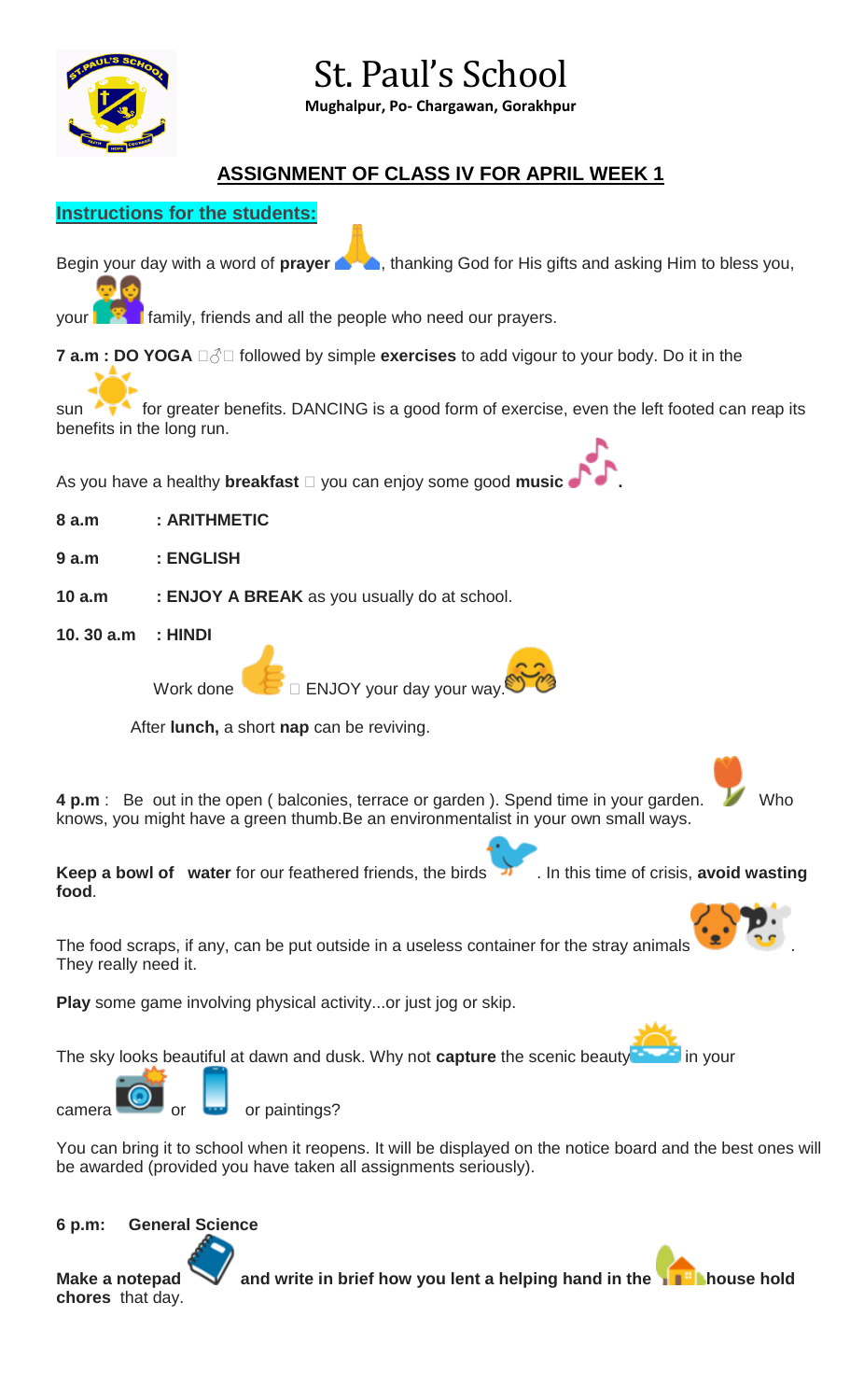

# St. Paul's School

**Mughalpur, Po- Chargawan, Gorakhpur**

### **ASSIGNMENT OF CLASS IV FOR APRIL WEEK 1**



### **6 p.m: General Science**

**chores** that day.

**Make a notepad and write in brief how you lent a helping hand in the helping band in the helping house hold**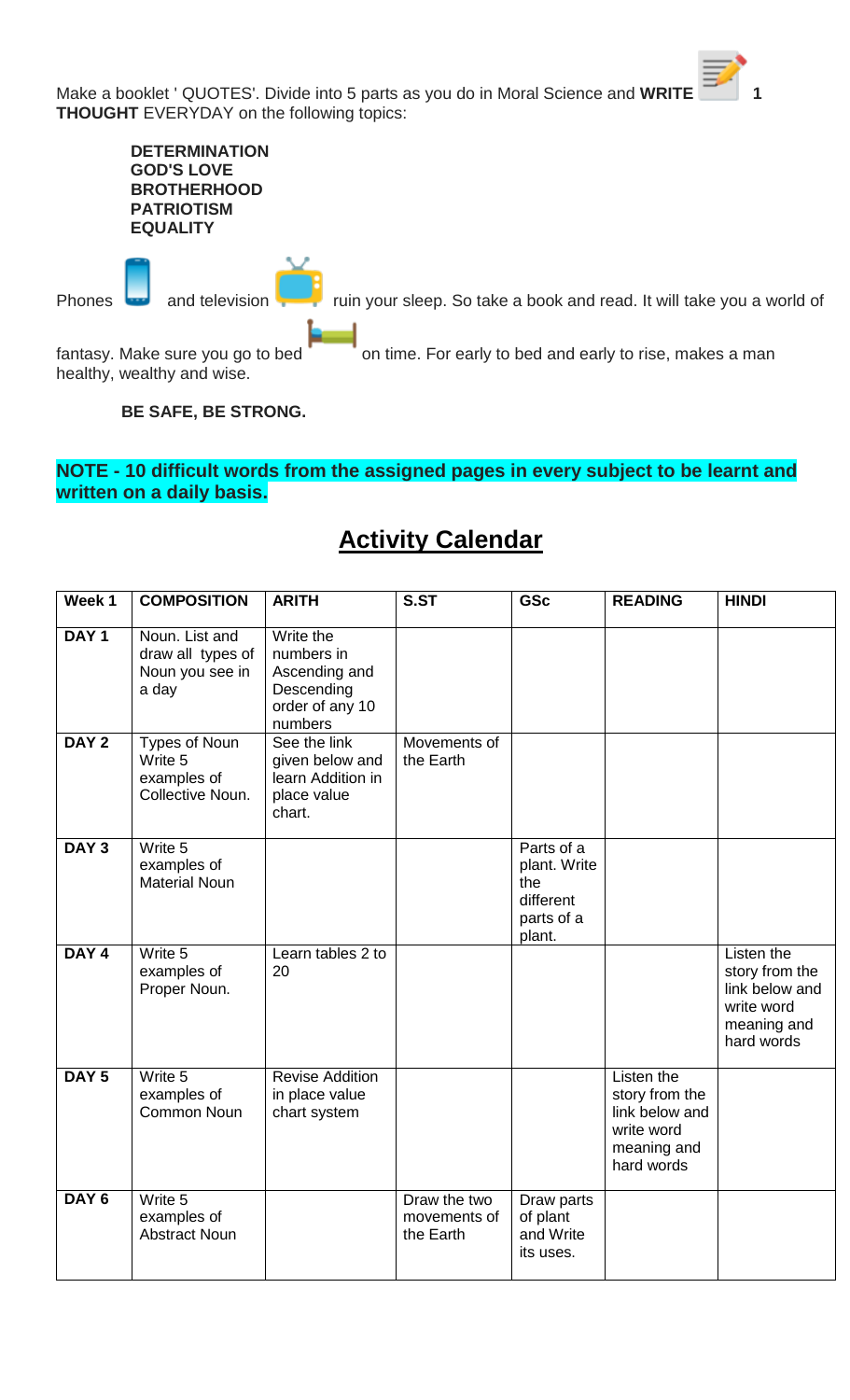Make a booklet ' QUOTES'. Divide into 5 parts as you do in Moral Science and WRITE **THOUGHT** EVERYDAY on the following topics:

|        | <b>DETERMINATION</b><br><b>GOD'S LOVE</b><br><b>BROTHERHOOD</b><br><b>PATRIOTISM</b><br><b>EQUALITY</b> |                                                                       |
|--------|---------------------------------------------------------------------------------------------------------|-----------------------------------------------------------------------|
| Phones | and television                                                                                          | ruin your sleep. So take a book and read. It will take you a world of |
|        | fantasy. Make sure you go to bed<br>healthy, wealthy and wise.                                          | on time. For early to bed and early to rise, makes a man              |

**BE SAFE, BE STRONG.**

### **NOTE - 10 difficult words from the assigned pages in every subject to be learnt and written on a daily basis.**

## **Activity Calendar**

| Week 1           | <b>COMPOSITION</b>                                              | <b>ARITH</b>                                                                         | S.ST                                      | <b>GSc</b>                                                             | <b>READING</b>                                                                            | <b>HINDI</b>                                                                              |
|------------------|-----------------------------------------------------------------|--------------------------------------------------------------------------------------|-------------------------------------------|------------------------------------------------------------------------|-------------------------------------------------------------------------------------------|-------------------------------------------------------------------------------------------|
| DAY <sub>1</sub> | Noun. List and<br>draw all types of<br>Noun you see in<br>a day | Write the<br>numbers in<br>Ascending and<br>Descending<br>order of any 10<br>numbers |                                           |                                                                        |                                                                                           |                                                                                           |
| DAY <sub>2</sub> | Types of Noun<br>Write 5<br>examples of<br>Collective Noun.     | See the link<br>given below and<br>learn Addition in<br>place value<br>chart.        | Movements of<br>the Earth                 |                                                                        |                                                                                           |                                                                                           |
| DAY <sub>3</sub> | Write 5<br>examples of<br><b>Material Noun</b>                  |                                                                                      |                                           | Parts of a<br>plant. Write<br>the<br>different<br>parts of a<br>plant. |                                                                                           |                                                                                           |
| DAY <sub>4</sub> | Write 5<br>examples of<br>Proper Noun.                          | Learn tables 2 to<br>20                                                              |                                           |                                                                        |                                                                                           | Listen the<br>story from the<br>link below and<br>write word<br>meaning and<br>hard words |
| DAY <sub>5</sub> | Write 5<br>examples of<br>Common Noun                           | <b>Revise Addition</b><br>in place value<br>chart system                             |                                           |                                                                        | Listen the<br>story from the<br>link below and<br>write word<br>meaning and<br>hard words |                                                                                           |
| DAY <sub>6</sub> | Write 5<br>examples of<br><b>Abstract Noun</b>                  |                                                                                      | Draw the two<br>movements of<br>the Earth | Draw parts<br>of plant<br>and Write<br>its uses.                       |                                                                                           |                                                                                           |

**字**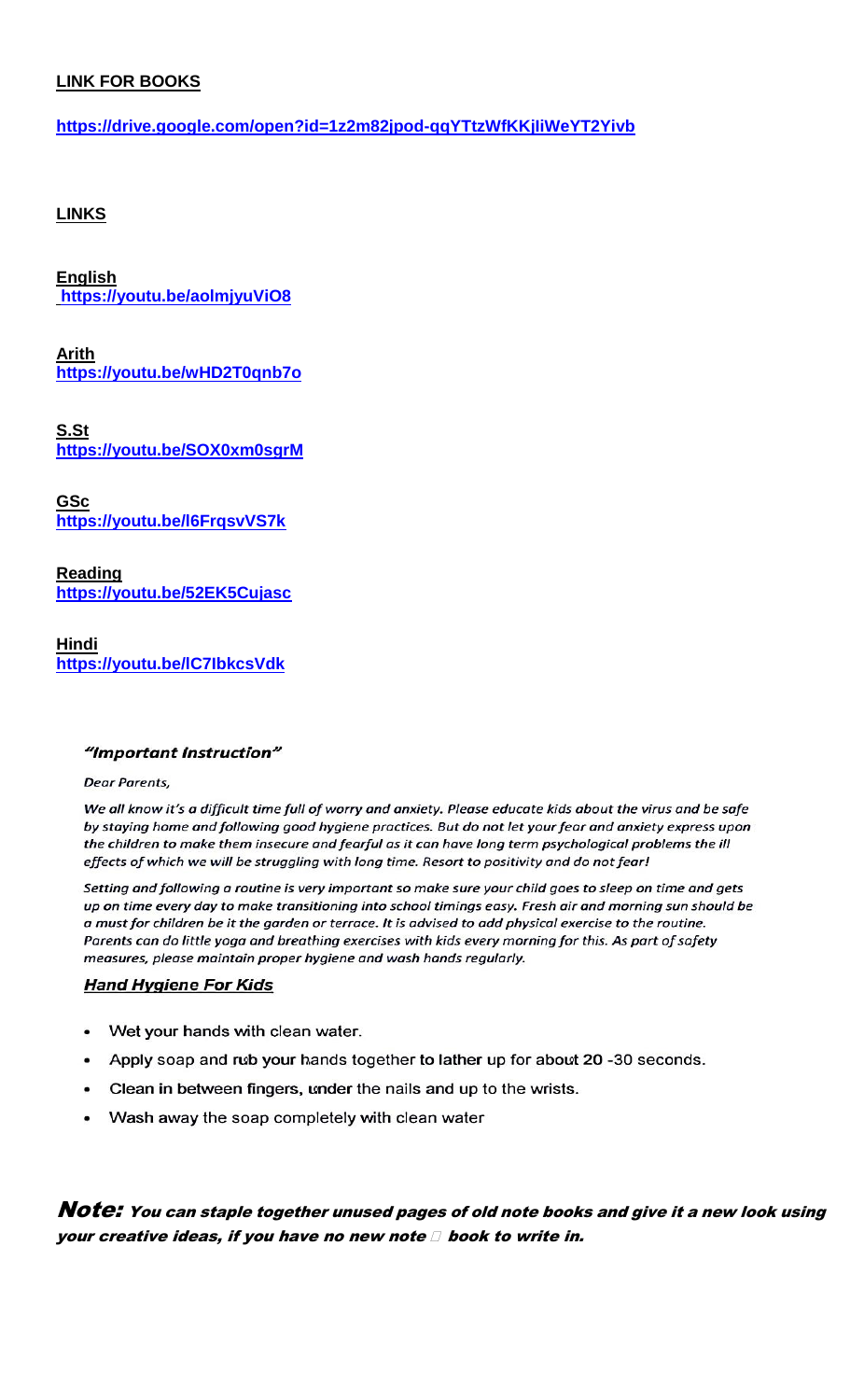### **LINK FOR BOOKS**

**<https://drive.google.com/open?id=1z2m82jpod-qqYTtzWfKKjIiWeYT2Yivb>**

### **LINKS**

**English <https://youtu.be/aolmjyuViO8>**

**Arith <https://youtu.be/wHD2T0qnb7o>**

**S.St <https://youtu.be/SOX0xm0sgrM>**

**GSc <https://youtu.be/l6FrqsvVS7k>**

**Reading <https://youtu.be/52EK5Cujasc>**

**Hindi <https://youtu.be/lC7IbkcsVdk>**

#### "Important Instruction"

**Dear Parents.** 

We all know it's a difficult time full of worry and anxiety. Please educate kids about the virus and be safe by staying home and following good hygiene practices. But do not let your fear and anxiety express upon the children to make them insecure and fearful as it can have long term psychological problems the ill effects of which we will be struggling with long time. Resort to positivity and do not fear!

Setting and following a routine is very important so make sure your child goes to sleep on time and gets up on time every day to make transitioning into school timings easy. Fresh air and morning sun should be a must for children be it the garden or terrace. It is advised to add physical exercise to the routine. Parents can do little yoga and breathing exercises with kids every morning for this. As part of safety measures, please maintain proper hygiene and wash hands regularly.

### **Hand Hygiene For Kids**

- Wet your hands with clean water.
- Apply soap and rub your hands together to lather up for about 20 -30 seconds.  $\bullet$
- Clean in between fingers, under the nails and up to the wrists.  $\bullet$
- Wash away the soap completely with clean water

Note: You can staple together unused pages of old note books and give it a new look using your creative ideas, if you have no new note  $\Box$  book to write in.